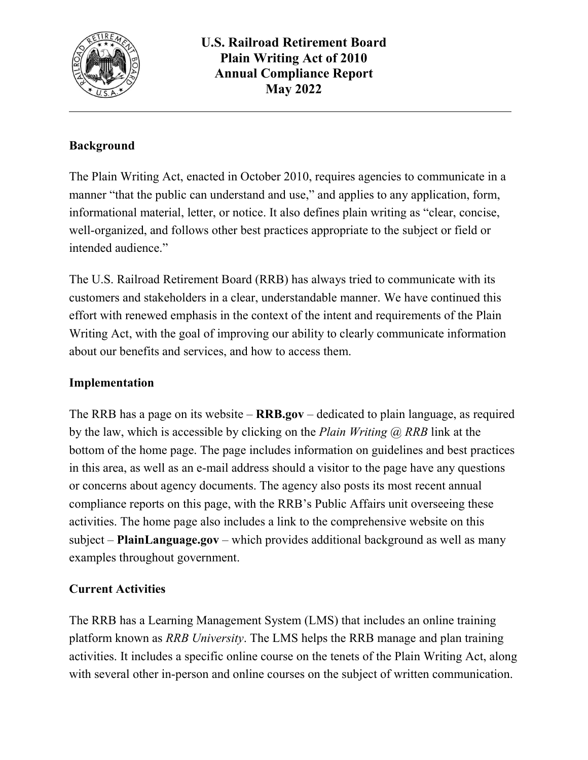

## **Background**

The Plain Writing Act, enacted in October 2010, requires agencies to communicate in a manner "that the public can understand and use," and applies to any application, form, informational material, letter, or notice. It also defines plain writing as "clear, concise, well-organized, and follows other best practices appropriate to the subject or field or intended audience."

The U.S. Railroad Retirement Board (RRB) has always tried to communicate with its customers and stakeholders in a clear, understandable manner. We have continued this effort with renewed emphasis in the context of the intent and requirements of the Plain Writing Act, with the goal of improving our ability to clearly communicate information about our benefits and services, and how to access them.

## **Implementation**

 The RRB has a page on its website – **RRB.gov** – dedicated to plain language, as required or concerns about agency documents. The agency also posts its most recent annual subject – **[PlainLanguage.gov](https://PlainLanguage.gov)** – which provides additional background as well as many by the law, which is accessible by clicking on the *Plain Writing @ RRB* link at the bottom of the home page. The page includes information on guidelines and best practices in this area, as well as an e-mail address should a visitor to the page have any questions compliance reports on this page, with the RRB's Public Affairs unit overseeing these activities. The home page also includes a link to the comprehensive website on this examples throughout government.

## **Current Activities**

The RRB has a Learning Management System (LMS) that includes an online training platform known as *RRB University*. The LMS helps the RRB manage and plan training activities. It includes a specific online course on the tenets of the Plain Writing Act, along with several other in-person and online courses on the subject of written communication.